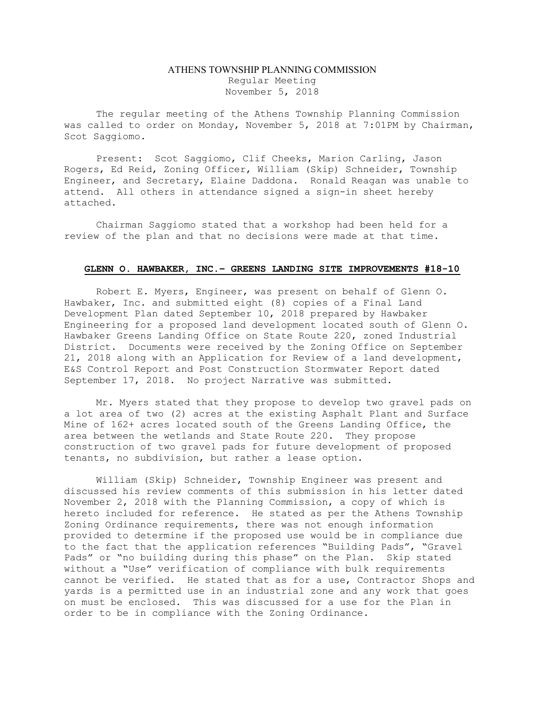## ATHENS TOWNSHIP PLANNING COMMISSION Regular Meeting November 5, 2018

The regular meeting of the Athens Township Planning Commission was called to order on Monday, November 5, 2018 at 7:01PM by Chairman, Scot Saggiomo.

Present: Scot Saggiomo, Clif Cheeks, Marion Carling, Jason Rogers, Ed Reid, Zoning Officer, William (Skip) Schneider, Township Engineer, and Secretary, Elaine Daddona. Ronald Reagan was unable to attend. All others in attendance signed a sign-in sheet hereby attached.

Chairman Saggiomo stated that a workshop had been held for a review of the plan and that no decisions were made at that time.

## GLENN O. HAWBAKER, INC.– GREENS LANDING SITE IMPROVEMENTS #18-10

 Robert E. Myers, Engineer, was present on behalf of Glenn O. Hawbaker, Inc. and submitted eight (8) copies of a Final Land Development Plan dated September 10, 2018 prepared by Hawbaker Engineering for a proposed land development located south of Glenn O. Hawbaker Greens Landing Office on State Route 220, zoned Industrial District. Documents were received by the Zoning Office on September 21, 2018 along with an Application for Review of a land development, E&S Control Report and Post Construction Stormwater Report dated September 17, 2018. No project Narrative was submitted.

Mr. Myers stated that they propose to develop two gravel pads on a lot area of two (2) acres at the existing Asphalt Plant and Surface Mine of 162+ acres located south of the Greens Landing Office, the area between the wetlands and State Route 220. They propose construction of two gravel pads for future development of proposed tenants, no subdivision, but rather a lease option.

William (Skip) Schneider, Township Engineer was present and discussed his review comments of this submission in his letter dated November 2, 2018 with the Planning Commission, a copy of which is hereto included for reference. He stated as per the Athens Township Zoning Ordinance requirements, there was not enough information provided to determine if the proposed use would be in compliance due to the fact that the application references "Building Pads", "Gravel Pads" or "no building during this phase" on the Plan. Skip stated without a "Use" verification of compliance with bulk requirements cannot be verified. He stated that as for a use, Contractor Shops and yards is a permitted use in an industrial zone and any work that goes on must be enclosed. This was discussed for a use for the Plan in order to be in compliance with the Zoning Ordinance.